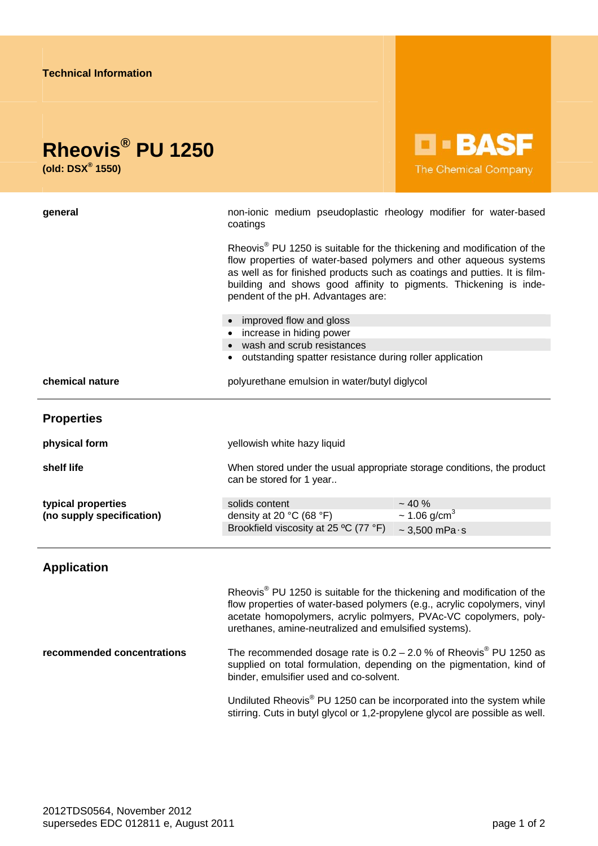| <b>D-BASF</b>                                                                                                                                                                                                                                                                                                                                                                    |
|----------------------------------------------------------------------------------------------------------------------------------------------------------------------------------------------------------------------------------------------------------------------------------------------------------------------------------------------------------------------------------|
| <b>The Chemical Company</b>                                                                                                                                                                                                                                                                                                                                                      |
| non-ionic medium pseudoplastic rheology modifier for water-based<br>coatings                                                                                                                                                                                                                                                                                                     |
| Rheovis <sup>®</sup> PU 1250 is suitable for the thickening and modification of the<br>flow properties of water-based polymers and other aqueous systems<br>as well as for finished products such as coatings and putties. It is film-<br>building and shows good affinity to pigments. Thickening is inde-<br>pendent of the pH. Advantages are:                                |
| • improved flow and gloss<br>• increase in hiding power                                                                                                                                                                                                                                                                                                                          |
| • wash and scrub resistances<br>outstanding spatter resistance during roller application                                                                                                                                                                                                                                                                                         |
| polyurethane emulsion in water/butyl diglycol                                                                                                                                                                                                                                                                                                                                    |
|                                                                                                                                                                                                                                                                                                                                                                                  |
|                                                                                                                                                                                                                                                                                                                                                                                  |
| yellowish white hazy liquid                                                                                                                                                                                                                                                                                                                                                      |
| When stored under the usual appropriate storage conditions, the product<br>can be stored for 1 year                                                                                                                                                                                                                                                                              |
| ~10%<br>solids content                                                                                                                                                                                                                                                                                                                                                           |
| $\sim$ 1.06 g/cm <sup>3</sup><br>density at 20 °C (68 °F)<br>Brookfield viscosity at 25 °C (77 °F)<br>$\sim$ 3,500 mPa $\cdot$ s                                                                                                                                                                                                                                                 |
|                                                                                                                                                                                                                                                                                                                                                                                  |
| Rheovis <sup>®</sup> PU 1250 is suitable for the thickening and modification of the<br>flow properties of water-based polymers (e.g., acrylic copolymers, vinyl<br>acetate homopolymers, acrylic polmyers, PVAc-VC copolymers, poly-<br>urethanes, amine-neutralized and emulsified systems).<br>The recommended dosage rate is $0.2 - 2.0$ % of Rheovis <sup>®</sup> PU 1250 as |
|                                                                                                                                                                                                                                                                                                                                                                                  |